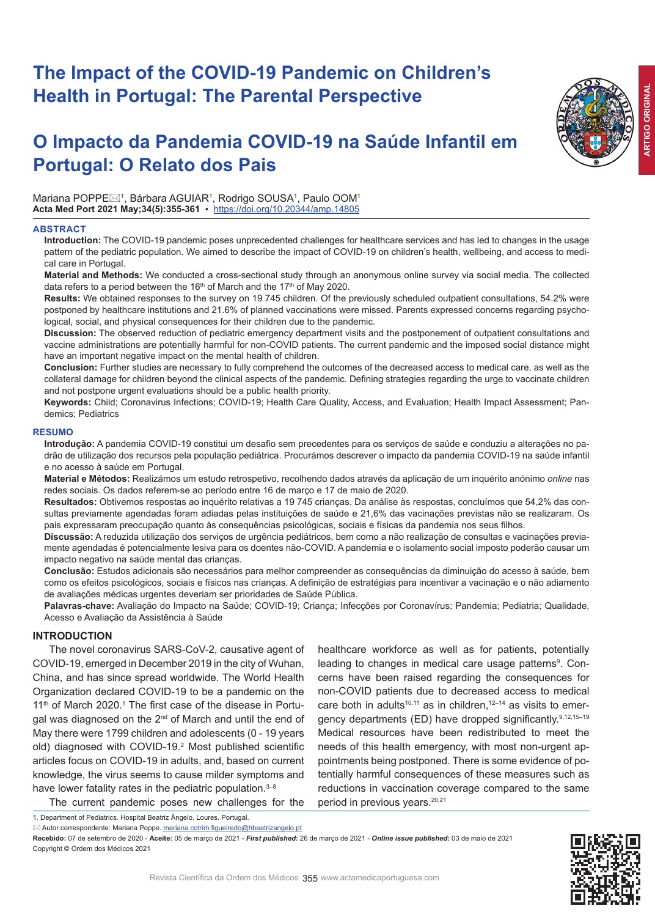# **The Impact of the COVID-19 Pandemic on Children's Health in Portugal: The Parental Perspective**

# **O Impacto da Pandemia COVID-19 na Saúde Infantil em Portugal: O Relato dos Pais**

Mariana POPPE $\boxtimes$ 1, Bárbara AGUIAR1, Rodrigo SOUSA1, Paulo OOM1 **Acta Med Port 2021 May;34(5):355-361** ▪https://doi.org/10.20344/amp.14805

#### **ABSTRACT**

**Introduction:** The COVID-19 pandemic poses unprecedented challenges for healthcare services and has led to changes in the usage pattern of the pediatric population. We aimed to describe the impact of COVID-19 on children's health, wellbeing, and access to medical care in Portugal.

**Material and Methods:** We conducted a cross-sectional study through an anonymous online survey via social media. The collected data refers to a period between the 16<sup>th</sup> of March and the 17<sup>th</sup> of May 2020.

**Results:** We obtained responses to the survey on 19 745 children. Of the previously scheduled outpatient consultations, 54.2% were postponed by healthcare institutions and 21.6% of planned vaccinations were missed. Parents expressed concerns regarding psychological, social, and physical consequences for their children due to the pandemic.

**Discussion:** The observed reduction of pediatric emergency department visits and the postponement of outpatient consultations and vaccine administrations are potentially harmful for non-COVID patients. The current pandemic and the imposed social distance might have an important negative impact on the mental health of children.

**Conclusion:** Further studies are necessary to fully comprehend the outcomes of the decreased access to medical care, as well as the collateral damage for children beyond the clinical aspects of the pandemic. Defining strategies regarding the urge to vaccinate children and not postpone urgent evaluations should be a public health priority.

**Keywords:** Child; Coronavirus Infections; COVID-19; Health Care Quality, Access, and Evaluation; Health Impact Assessment; Pandemics; Pediatrics

#### **RESUMO**

**Introdução:** A pandemia COVID-19 constitui um desafio sem precedentes para os serviços de saúde e conduziu a alterações no padrão de utilização dos recursos pela população pediátrica. Procurámos descrever o impacto da pandemia COVID-19 na saúde infantil e no acesso à saúde em Portugal.

**Material e Métodos:** Realizámos um estudo retrospetivo, recolhendo dados através da aplicação de um inquérito anónimo *online* nas redes sociais. Os dados referem-se ao período entre 16 de março e 17 de maio de 2020.

**Resultados:** Obtivemos respostas ao inquérito relativas a 19 745 crianças. Da análise às respostas, concluímos que 54,2% das consultas previamente agendadas foram adiadas pelas instituições de saúde e 21,6% das vacinações previstas não se realizaram. Os pais expressaram preocupação quanto às consequências psicológicas, sociais e físicas da pandemia nos seus filhos.

**Discussão:** A reduzida utilização dos serviços de urgência pediátricos, bem como a não realização de consultas e vacinações previamente agendadas é potencialmente lesiva para os doentes não-COVID. A pandemia e o isolamento social imposto poderão causar um impacto negativo na saúde mental das crianças.

**Conclusão:** Estudos adicionais são necessários para melhor compreender as consequências da diminuição do acesso à saúde, bem como os efeitos psicológicos, sociais e físicos nas crianças. A definição de estratégias para incentivar a vacinação e o não adiamento de avaliações médicas urgentes deveriam ser prioridades de Saúde Pública.

**Palavras-chave:** Avaliação do Impacto na Saúde; COVID-19; Criança; Infecções por Coronavírus; Pandemia; Pediatria; Qualidade, Acesso e Avaliação da Assistência à Saúde

# **INTRODUCTION**

The novel coronavirus SARS-CoV-2, causative agent of COVID-19, emerged in December 2019 in the city of Wuhan, China, and has since spread worldwide. The World Health Organization declared COVID-19 to be a pandemic on the 11<sup>th</sup> of March 2020.<sup>1</sup> The first case of the disease in Portugal was diagnosed on the 2<sup>nd</sup> of March and until the end of May there were 1799 children and adolescents (0 - 19 years old) diagnosed with COVID-19.<sup>2</sup> Most published scientific articles focus on COVID-19 in adults, and, based on current knowledge, the virus seems to cause milder symptoms and have lower fatality rates in the pediatric population.<sup>3-8</sup>

healthcare workforce as well as for patients, potentially leading to changes in medical care usage patterns<sup>9</sup>. Concerns have been raised regarding the consequences for non-COVID patients due to decreased access to medical care both in adults<sup>10,11</sup> as in children,<sup>12-14</sup> as visits to emergency departments (ED) have dropped significantly.<sup>9,12,15-19</sup> Medical resources have been redistributed to meet the needs of this health emergency, with most non-urgent appointments being postponed. There is some evidence of potentially harmful consequences of these measures such as reductions in vaccination coverage compared to the same period in previous years.<sup>20,21</sup>

1. Department of Pediatrics. Hospital Beatriz Ângelo. Loures. Portugal.

■ Autor correspondente: Mariana Poppe. mariana.cotrim.figueiredo@hbeatrizangelo.pt

The current pandemic poses new challenges for the

**Recebido:** 07 de setembro de 2020 - **Aceite:** 05 de março de 2021 - *First published***:** 26 de março de 2021 - *Online issue published***:** 03 de maio de 2021 Copyright © Ordem dos Médicos 2021

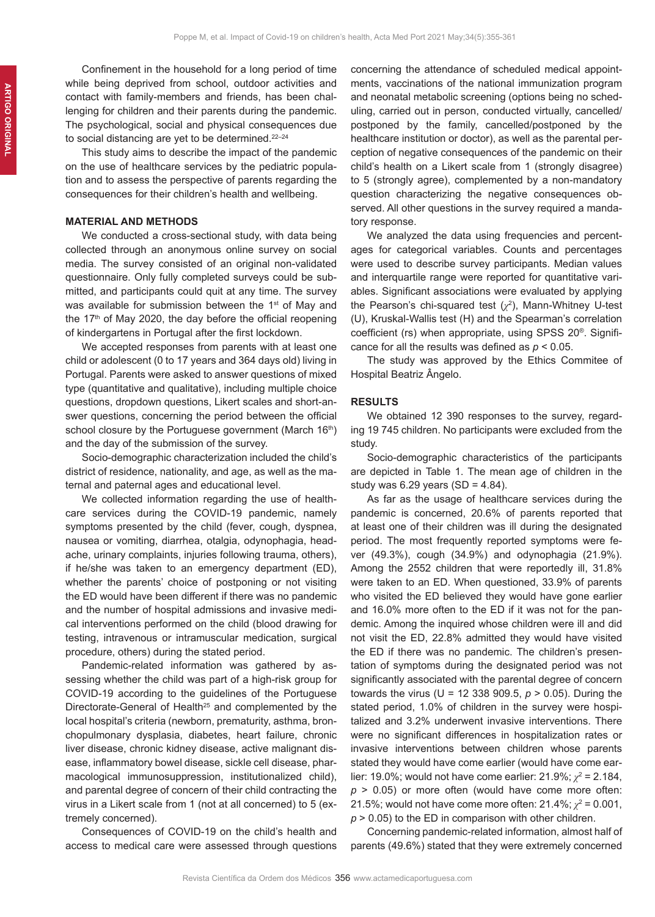Confinement in the household for a long period of time while being deprived from school, outdoor activities and contact with family-members and friends, has been challenging for children and their parents during the pandemic. The psychological, social and physical consequences due to social distancing are yet to be determined. $22-24$ 

This study aims to describe the impact of the pandemic on the use of healthcare services by the pediatric population and to assess the perspective of parents regarding the consequences for their children's health and wellbeing.

# **MATERIAL AND METHODS**

We conducted a cross-sectional study, with data being collected through an anonymous online survey on social media. The survey consisted of an original non-validated questionnaire. Only fully completed surveys could be submitted, and participants could quit at any time. The survey was available for submission between the 1<sup>st</sup> of May and the  $17<sup>th</sup>$  of May 2020, the day before the official reopening of kindergartens in Portugal after the first lockdown.

We accepted responses from parents with at least one child or adolescent (0 to 17 years and 364 days old) living in Portugal. Parents were asked to answer questions of mixed type (quantitative and qualitative), including multiple choice questions, dropdown questions, Likert scales and short-answer questions, concerning the period between the official school closure by the Portuguese government (March 16th) and the day of the submission of the survey.

Socio-demographic characterization included the child's district of residence, nationality, and age, as well as the maternal and paternal ages and educational level.

We collected information regarding the use of healthcare services during the COVID-19 pandemic, namely symptoms presented by the child (fever, cough, dyspnea, nausea or vomiting, diarrhea, otalgia, odynophagia, headache, urinary complaints, injuries following trauma, others), if he/she was taken to an emergency department (ED), whether the parents' choice of postponing or not visiting the ED would have been different if there was no pandemic and the number of hospital admissions and invasive medical interventions performed on the child (blood drawing for testing, intravenous or intramuscular medication, surgical procedure, others) during the stated period.

Pandemic-related information was gathered by assessing whether the child was part of a high-risk group for COVID-19 according to the guidelines of the Portuguese Directorate-General of Health<sup>25</sup> and complemented by the local hospital's criteria (newborn, prematurity, asthma, bronchopulmonary dysplasia, diabetes, heart failure, chronic liver disease, chronic kidney disease, active malignant disease, inflammatory bowel disease, sickle cell disease, pharmacological immunosuppression, institutionalized child), and parental degree of concern of their child contracting the virus in a Likert scale from 1 (not at all concerned) to 5 (extremely concerned).

Consequences of COVID-19 on the child's health and access to medical care were assessed through questions concerning the attendance of scheduled medical appointments, vaccinations of the national immunization program and neonatal metabolic screening (options being no scheduling, carried out in person, conducted virtually, cancelled/ postponed by the family, cancelled/postponed by the healthcare institution or doctor), as well as the parental perception of negative consequences of the pandemic on their child's health on a Likert scale from 1 (strongly disagree) to 5 (strongly agree), complemented by a non-mandatory question characterizing the negative consequences observed. All other questions in the survey required a mandatory response.

We analyzed the data using frequencies and percentages for categorical variables. Counts and percentages were used to describe survey participants. Median values and interquartile range were reported for quantitative variables. Significant associations were evaluated by applying the Pearson's chi-squared test (*χ*<sup>2</sup> ), Mann-Whitney U-test (U), Kruskal-Wallis test (H) and the Spearman's correlation coefficient (rs) when appropriate, using SPSS 20®. Significance for all the results was defined as *p* < 0.05.

The study was approved by the Ethics Commitee of Hospital Beatriz Ângelo.

# **RESULTS**

We obtained 12 390 responses to the survey, regarding 19 745 children. No participants were excluded from the study.

Socio-demographic characteristics of the participants are depicted in Table 1. The mean age of children in the study was  $6.29$  years  $(SD = 4.84)$ .

As far as the usage of healthcare services during the pandemic is concerned, 20.6% of parents reported that at least one of their children was ill during the designated period. The most frequently reported symptoms were fever (49.3%), cough (34.9%) and odynophagia (21.9%). Among the 2552 children that were reportedly ill, 31.8% were taken to an ED. When questioned, 33.9% of parents who visited the ED believed they would have gone earlier and 16.0% more often to the ED if it was not for the pandemic. Among the inquired whose children were ill and did not visit the ED, 22.8% admitted they would have visited the ED if there was no pandemic. The children's presentation of symptoms during the designated period was not significantly associated with the parental degree of concern towards the virus (U = 12 338 909.5, *p* > 0.05). During the stated period, 1.0% of children in the survey were hospitalized and 3.2% underwent invasive interventions. There were no significant differences in hospitalization rates or invasive interventions between children whose parents stated they would have come earlier (would have come earlier: 19.0%; would not have come earlier: 21.9%; *χ*<sup>2</sup> = 2.184, *p* > 0.05) or more often (would have come more often: 21.5%; would not have come more often: 21.4%;  $\chi^2$  = 0.001, *p* > 0.05) to the ED in comparison with other children.

Concerning pandemic-related information, almost half of parents (49.6%) stated that they were extremely concerned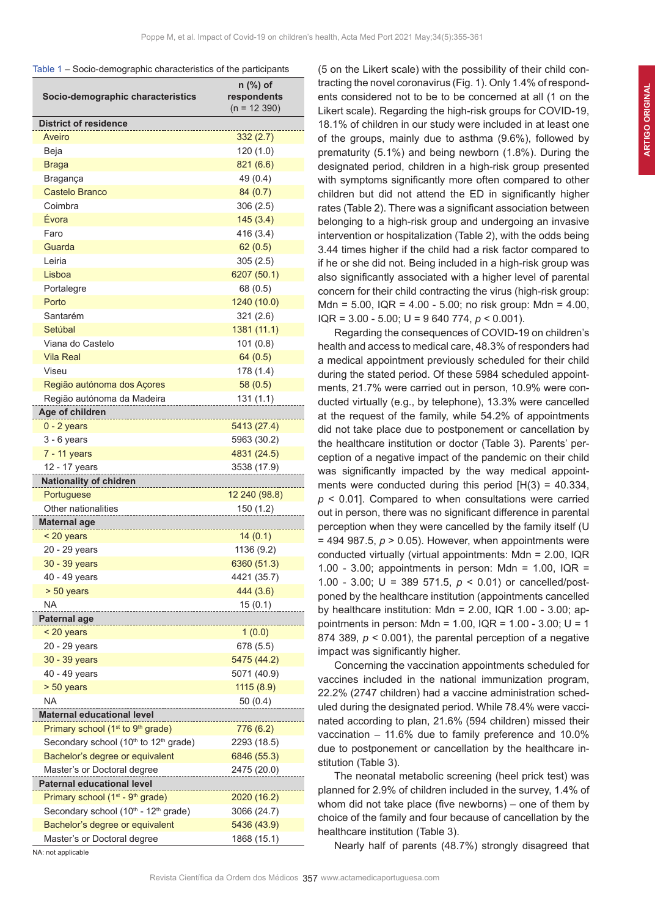| Table 1 - Socio-demographic characteristics of the participants |  |  |  |
|-----------------------------------------------------------------|--|--|--|
|-----------------------------------------------------------------|--|--|--|

| <b>District of residence</b><br>Aveiro<br>332(2.7)<br>Beja<br>120(1.0)<br><b>Braga</b><br>821 (6.6)<br>49 (0.4)<br>Bragança<br><b>Castelo Branco</b><br>84 (0.7)<br>Coimbra<br>306(2.5)<br>Évora<br>145(3.4)<br>Faro<br>416 (3.4)<br>Guarda<br>62(0.5)<br>Leiria<br>305(2.5)<br>Lisboa<br>6207 (50.1)<br>Portalegre<br>68 (0.5)<br>Porto<br>1240 (10.0)<br>Santarém<br>321(2.6)<br>Setúbal<br>1381 (11.1)<br>Viana do Castelo<br>101(0.8)<br><b>Vila Real</b><br>64 (0.5)<br>Viseu<br>178 (1.4)<br>Região autónoma dos Açores<br>58(0.5)<br>Região autónoma da Madeira<br>131 (1.1)<br>Age of children<br>$0 - 2$ years<br>5413 (27.4)<br>$3 - 6$ years<br>5963 (30.2)<br>7 - 11 years<br>4831 (24.5)<br>12 - 17 years<br>3538 (17.9)<br><b>Nationality of chidren</b><br>Portuguese<br>12 240 (98.8)<br>Other nationalities<br>150 (1.2)<br>Maternal age<br>< 20 years<br>14(0.1)<br>20 - 29 years<br>1136 (9.2)<br>30 - 39 years<br>6360 (51.3)<br>40 - 49 years<br>4421 (35.7)<br>> 50 years<br>444 (3.6)<br>NA<br>15(0.1)<br>Paternal age<br>1(0.0)<br>< 20 years<br>678 (5.5)<br>20 - 29 years<br>30 - 39 years<br>5475 (44.2)<br>40 - 49 years<br>5071 (40.9)<br>$> 50$ years<br>1115(8.9)<br><b>NA</b><br>50(0.4)<br><b>Maternal educational level</b><br>Primary school (1 <sup>st</sup> to 9 <sup>th</sup> grade)<br>776 (6.2)<br>Secondary school (10 <sup>th</sup> to 12 <sup>th</sup> grade)<br>2293 (18.5)<br>Bachelor's degree or equivalent<br>6846 (55.3)<br>Master's or Doctoral degree<br>2475 (20.0)<br><b>Paternal educational level</b><br>Primary school (1 <sup>st</sup> - 9 <sup>th</sup> grade)<br>2020 (16.2)<br>Secondary school (10th - 12th grade)<br>3066 (24.7) | Socio-demographic characteristics | n (%) of<br>respondents<br>$(n = 12390)$ |
|------------------------------------------------------------------------------------------------------------------------------------------------------------------------------------------------------------------------------------------------------------------------------------------------------------------------------------------------------------------------------------------------------------------------------------------------------------------------------------------------------------------------------------------------------------------------------------------------------------------------------------------------------------------------------------------------------------------------------------------------------------------------------------------------------------------------------------------------------------------------------------------------------------------------------------------------------------------------------------------------------------------------------------------------------------------------------------------------------------------------------------------------------------------------------------------------------------------------------------------------------------------------------------------------------------------------------------------------------------------------------------------------------------------------------------------------------------------------------------------------------------------------------------------------------------------------------------------------------------------------------------------------------------------------------------------------|-----------------------------------|------------------------------------------|
|                                                                                                                                                                                                                                                                                                                                                                                                                                                                                                                                                                                                                                                                                                                                                                                                                                                                                                                                                                                                                                                                                                                                                                                                                                                                                                                                                                                                                                                                                                                                                                                                                                                                                                |                                   |                                          |
|                                                                                                                                                                                                                                                                                                                                                                                                                                                                                                                                                                                                                                                                                                                                                                                                                                                                                                                                                                                                                                                                                                                                                                                                                                                                                                                                                                                                                                                                                                                                                                                                                                                                                                |                                   |                                          |
|                                                                                                                                                                                                                                                                                                                                                                                                                                                                                                                                                                                                                                                                                                                                                                                                                                                                                                                                                                                                                                                                                                                                                                                                                                                                                                                                                                                                                                                                                                                                                                                                                                                                                                |                                   |                                          |
|                                                                                                                                                                                                                                                                                                                                                                                                                                                                                                                                                                                                                                                                                                                                                                                                                                                                                                                                                                                                                                                                                                                                                                                                                                                                                                                                                                                                                                                                                                                                                                                                                                                                                                |                                   |                                          |
|                                                                                                                                                                                                                                                                                                                                                                                                                                                                                                                                                                                                                                                                                                                                                                                                                                                                                                                                                                                                                                                                                                                                                                                                                                                                                                                                                                                                                                                                                                                                                                                                                                                                                                |                                   |                                          |
|                                                                                                                                                                                                                                                                                                                                                                                                                                                                                                                                                                                                                                                                                                                                                                                                                                                                                                                                                                                                                                                                                                                                                                                                                                                                                                                                                                                                                                                                                                                                                                                                                                                                                                |                                   |                                          |
|                                                                                                                                                                                                                                                                                                                                                                                                                                                                                                                                                                                                                                                                                                                                                                                                                                                                                                                                                                                                                                                                                                                                                                                                                                                                                                                                                                                                                                                                                                                                                                                                                                                                                                |                                   |                                          |
|                                                                                                                                                                                                                                                                                                                                                                                                                                                                                                                                                                                                                                                                                                                                                                                                                                                                                                                                                                                                                                                                                                                                                                                                                                                                                                                                                                                                                                                                                                                                                                                                                                                                                                |                                   |                                          |
|                                                                                                                                                                                                                                                                                                                                                                                                                                                                                                                                                                                                                                                                                                                                                                                                                                                                                                                                                                                                                                                                                                                                                                                                                                                                                                                                                                                                                                                                                                                                                                                                                                                                                                |                                   |                                          |
|                                                                                                                                                                                                                                                                                                                                                                                                                                                                                                                                                                                                                                                                                                                                                                                                                                                                                                                                                                                                                                                                                                                                                                                                                                                                                                                                                                                                                                                                                                                                                                                                                                                                                                |                                   |                                          |
|                                                                                                                                                                                                                                                                                                                                                                                                                                                                                                                                                                                                                                                                                                                                                                                                                                                                                                                                                                                                                                                                                                                                                                                                                                                                                                                                                                                                                                                                                                                                                                                                                                                                                                |                                   |                                          |
|                                                                                                                                                                                                                                                                                                                                                                                                                                                                                                                                                                                                                                                                                                                                                                                                                                                                                                                                                                                                                                                                                                                                                                                                                                                                                                                                                                                                                                                                                                                                                                                                                                                                                                |                                   |                                          |
|                                                                                                                                                                                                                                                                                                                                                                                                                                                                                                                                                                                                                                                                                                                                                                                                                                                                                                                                                                                                                                                                                                                                                                                                                                                                                                                                                                                                                                                                                                                                                                                                                                                                                                |                                   |                                          |
|                                                                                                                                                                                                                                                                                                                                                                                                                                                                                                                                                                                                                                                                                                                                                                                                                                                                                                                                                                                                                                                                                                                                                                                                                                                                                                                                                                                                                                                                                                                                                                                                                                                                                                |                                   |                                          |
|                                                                                                                                                                                                                                                                                                                                                                                                                                                                                                                                                                                                                                                                                                                                                                                                                                                                                                                                                                                                                                                                                                                                                                                                                                                                                                                                                                                                                                                                                                                                                                                                                                                                                                |                                   |                                          |
|                                                                                                                                                                                                                                                                                                                                                                                                                                                                                                                                                                                                                                                                                                                                                                                                                                                                                                                                                                                                                                                                                                                                                                                                                                                                                                                                                                                                                                                                                                                                                                                                                                                                                                |                                   |                                          |
|                                                                                                                                                                                                                                                                                                                                                                                                                                                                                                                                                                                                                                                                                                                                                                                                                                                                                                                                                                                                                                                                                                                                                                                                                                                                                                                                                                                                                                                                                                                                                                                                                                                                                                |                                   |                                          |
|                                                                                                                                                                                                                                                                                                                                                                                                                                                                                                                                                                                                                                                                                                                                                                                                                                                                                                                                                                                                                                                                                                                                                                                                                                                                                                                                                                                                                                                                                                                                                                                                                                                                                                |                                   |                                          |
|                                                                                                                                                                                                                                                                                                                                                                                                                                                                                                                                                                                                                                                                                                                                                                                                                                                                                                                                                                                                                                                                                                                                                                                                                                                                                                                                                                                                                                                                                                                                                                                                                                                                                                |                                   |                                          |
|                                                                                                                                                                                                                                                                                                                                                                                                                                                                                                                                                                                                                                                                                                                                                                                                                                                                                                                                                                                                                                                                                                                                                                                                                                                                                                                                                                                                                                                                                                                                                                                                                                                                                                |                                   |                                          |
|                                                                                                                                                                                                                                                                                                                                                                                                                                                                                                                                                                                                                                                                                                                                                                                                                                                                                                                                                                                                                                                                                                                                                                                                                                                                                                                                                                                                                                                                                                                                                                                                                                                                                                |                                   |                                          |
|                                                                                                                                                                                                                                                                                                                                                                                                                                                                                                                                                                                                                                                                                                                                                                                                                                                                                                                                                                                                                                                                                                                                                                                                                                                                                                                                                                                                                                                                                                                                                                                                                                                                                                |                                   |                                          |
|                                                                                                                                                                                                                                                                                                                                                                                                                                                                                                                                                                                                                                                                                                                                                                                                                                                                                                                                                                                                                                                                                                                                                                                                                                                                                                                                                                                                                                                                                                                                                                                                                                                                                                |                                   |                                          |
|                                                                                                                                                                                                                                                                                                                                                                                                                                                                                                                                                                                                                                                                                                                                                                                                                                                                                                                                                                                                                                                                                                                                                                                                                                                                                                                                                                                                                                                                                                                                                                                                                                                                                                |                                   |                                          |
|                                                                                                                                                                                                                                                                                                                                                                                                                                                                                                                                                                                                                                                                                                                                                                                                                                                                                                                                                                                                                                                                                                                                                                                                                                                                                                                                                                                                                                                                                                                                                                                                                                                                                                |                                   |                                          |
|                                                                                                                                                                                                                                                                                                                                                                                                                                                                                                                                                                                                                                                                                                                                                                                                                                                                                                                                                                                                                                                                                                                                                                                                                                                                                                                                                                                                                                                                                                                                                                                                                                                                                                |                                   |                                          |
|                                                                                                                                                                                                                                                                                                                                                                                                                                                                                                                                                                                                                                                                                                                                                                                                                                                                                                                                                                                                                                                                                                                                                                                                                                                                                                                                                                                                                                                                                                                                                                                                                                                                                                |                                   |                                          |
|                                                                                                                                                                                                                                                                                                                                                                                                                                                                                                                                                                                                                                                                                                                                                                                                                                                                                                                                                                                                                                                                                                                                                                                                                                                                                                                                                                                                                                                                                                                                                                                                                                                                                                |                                   |                                          |
|                                                                                                                                                                                                                                                                                                                                                                                                                                                                                                                                                                                                                                                                                                                                                                                                                                                                                                                                                                                                                                                                                                                                                                                                                                                                                                                                                                                                                                                                                                                                                                                                                                                                                                |                                   |                                          |
|                                                                                                                                                                                                                                                                                                                                                                                                                                                                                                                                                                                                                                                                                                                                                                                                                                                                                                                                                                                                                                                                                                                                                                                                                                                                                                                                                                                                                                                                                                                                                                                                                                                                                                |                                   |                                          |
|                                                                                                                                                                                                                                                                                                                                                                                                                                                                                                                                                                                                                                                                                                                                                                                                                                                                                                                                                                                                                                                                                                                                                                                                                                                                                                                                                                                                                                                                                                                                                                                                                                                                                                |                                   |                                          |
|                                                                                                                                                                                                                                                                                                                                                                                                                                                                                                                                                                                                                                                                                                                                                                                                                                                                                                                                                                                                                                                                                                                                                                                                                                                                                                                                                                                                                                                                                                                                                                                                                                                                                                |                                   |                                          |
|                                                                                                                                                                                                                                                                                                                                                                                                                                                                                                                                                                                                                                                                                                                                                                                                                                                                                                                                                                                                                                                                                                                                                                                                                                                                                                                                                                                                                                                                                                                                                                                                                                                                                                |                                   |                                          |
|                                                                                                                                                                                                                                                                                                                                                                                                                                                                                                                                                                                                                                                                                                                                                                                                                                                                                                                                                                                                                                                                                                                                                                                                                                                                                                                                                                                                                                                                                                                                                                                                                                                                                                |                                   |                                          |
|                                                                                                                                                                                                                                                                                                                                                                                                                                                                                                                                                                                                                                                                                                                                                                                                                                                                                                                                                                                                                                                                                                                                                                                                                                                                                                                                                                                                                                                                                                                                                                                                                                                                                                |                                   |                                          |
|                                                                                                                                                                                                                                                                                                                                                                                                                                                                                                                                                                                                                                                                                                                                                                                                                                                                                                                                                                                                                                                                                                                                                                                                                                                                                                                                                                                                                                                                                                                                                                                                                                                                                                |                                   |                                          |
|                                                                                                                                                                                                                                                                                                                                                                                                                                                                                                                                                                                                                                                                                                                                                                                                                                                                                                                                                                                                                                                                                                                                                                                                                                                                                                                                                                                                                                                                                                                                                                                                                                                                                                |                                   |                                          |
|                                                                                                                                                                                                                                                                                                                                                                                                                                                                                                                                                                                                                                                                                                                                                                                                                                                                                                                                                                                                                                                                                                                                                                                                                                                                                                                                                                                                                                                                                                                                                                                                                                                                                                |                                   |                                          |
|                                                                                                                                                                                                                                                                                                                                                                                                                                                                                                                                                                                                                                                                                                                                                                                                                                                                                                                                                                                                                                                                                                                                                                                                                                                                                                                                                                                                                                                                                                                                                                                                                                                                                                |                                   |                                          |
|                                                                                                                                                                                                                                                                                                                                                                                                                                                                                                                                                                                                                                                                                                                                                                                                                                                                                                                                                                                                                                                                                                                                                                                                                                                                                                                                                                                                                                                                                                                                                                                                                                                                                                |                                   |                                          |
|                                                                                                                                                                                                                                                                                                                                                                                                                                                                                                                                                                                                                                                                                                                                                                                                                                                                                                                                                                                                                                                                                                                                                                                                                                                                                                                                                                                                                                                                                                                                                                                                                                                                                                |                                   |                                          |
|                                                                                                                                                                                                                                                                                                                                                                                                                                                                                                                                                                                                                                                                                                                                                                                                                                                                                                                                                                                                                                                                                                                                                                                                                                                                                                                                                                                                                                                                                                                                                                                                                                                                                                |                                   |                                          |
|                                                                                                                                                                                                                                                                                                                                                                                                                                                                                                                                                                                                                                                                                                                                                                                                                                                                                                                                                                                                                                                                                                                                                                                                                                                                                                                                                                                                                                                                                                                                                                                                                                                                                                |                                   |                                          |
|                                                                                                                                                                                                                                                                                                                                                                                                                                                                                                                                                                                                                                                                                                                                                                                                                                                                                                                                                                                                                                                                                                                                                                                                                                                                                                                                                                                                                                                                                                                                                                                                                                                                                                |                                   |                                          |
|                                                                                                                                                                                                                                                                                                                                                                                                                                                                                                                                                                                                                                                                                                                                                                                                                                                                                                                                                                                                                                                                                                                                                                                                                                                                                                                                                                                                                                                                                                                                                                                                                                                                                                |                                   |                                          |
|                                                                                                                                                                                                                                                                                                                                                                                                                                                                                                                                                                                                                                                                                                                                                                                                                                                                                                                                                                                                                                                                                                                                                                                                                                                                                                                                                                                                                                                                                                                                                                                                                                                                                                |                                   |                                          |
|                                                                                                                                                                                                                                                                                                                                                                                                                                                                                                                                                                                                                                                                                                                                                                                                                                                                                                                                                                                                                                                                                                                                                                                                                                                                                                                                                                                                                                                                                                                                                                                                                                                                                                |                                   |                                          |
|                                                                                                                                                                                                                                                                                                                                                                                                                                                                                                                                                                                                                                                                                                                                                                                                                                                                                                                                                                                                                                                                                                                                                                                                                                                                                                                                                                                                                                                                                                                                                                                                                                                                                                |                                   |                                          |
|                                                                                                                                                                                                                                                                                                                                                                                                                                                                                                                                                                                                                                                                                                                                                                                                                                                                                                                                                                                                                                                                                                                                                                                                                                                                                                                                                                                                                                                                                                                                                                                                                                                                                                |                                   |                                          |
|                                                                                                                                                                                                                                                                                                                                                                                                                                                                                                                                                                                                                                                                                                                                                                                                                                                                                                                                                                                                                                                                                                                                                                                                                                                                                                                                                                                                                                                                                                                                                                                                                                                                                                |                                   |                                          |
|                                                                                                                                                                                                                                                                                                                                                                                                                                                                                                                                                                                                                                                                                                                                                                                                                                                                                                                                                                                                                                                                                                                                                                                                                                                                                                                                                                                                                                                                                                                                                                                                                                                                                                | Bachelor's degree or equivalent   | 5436 (43.9)                              |
| Master's or Doctoral degree<br>1868 (15.1)<br>NA: not applicable                                                                                                                                                                                                                                                                                                                                                                                                                                                                                                                                                                                                                                                                                                                                                                                                                                                                                                                                                                                                                                                                                                                                                                                                                                                                                                                                                                                                                                                                                                                                                                                                                               |                                   |                                          |

(5 on the Likert scale) with the possibility of their child contracting the novel coronavirus (Fig. 1). Only 1.4% of respondents considered not to be to be concerned at all (1 on the Likert scale). Regarding the high-risk groups for COVID-19, 18.1% of children in our study were included in at least one of the groups, mainly due to asthma (9.6%), followed by prematurity (5.1%) and being newborn (1.8%). During the designated period, children in a high-risk group presented with symptoms significantly more often compared to other children but did not attend the ED in significantly higher rates (Table 2). There was a significant association between belonging to a high-risk group and undergoing an invasive intervention or hospitalization (Table 2), with the odds being 3.44 times higher if the child had a risk factor compared to if he or she did not. Being included in a high-risk group was also significantly associated with a higher level of parental concern for their child contracting the virus (high-risk group: Mdn = 5.00, IQR = 4.00 - 5.00; no risk group: Mdn = 4.00, IQR = 3.00 - 5.00; U = 9 640 774, *p* < 0.001).

Regarding the consequences of COVID-19 on children's health and access to medical care, 48.3% of responders had a medical appointment previously scheduled for their child during the stated period. Of these 5984 scheduled appointments, 21.7% were carried out in person, 10.9% were conducted virtually (e.g., by telephone), 13.3% were cancelled at the request of the family, while 54.2% of appointments did not take place due to postponement or cancellation by the healthcare institution or doctor (Table 3). Parents' perception of a negative impact of the pandemic on their child was significantly impacted by the way medical appointments were conducted during this period  $[H(3) = 40.334]$ , *p* < 0.01]. Compared to when consultations were carried out in person, there was no significant difference in parental perception when they were cancelled by the family itself (U  $= 494$  987.5,  $p > 0.05$ ). However, when appointments were conducted virtually (virtual appointments: Mdn = 2.00, IQR 1.00 - 3.00; appointments in person: Mdn = 1.00, IQR = 1.00 - 3.00; U = 389 571.5, *p* < 0.01) or cancelled/postponed by the healthcare institution (appointments cancelled by healthcare institution: Mdn = 2.00, IQR 1.00 - 3.00; appointments in person: Mdn = 1.00, IQR = 1.00 - 3.00; U = 1 874 389,  $p < 0.001$ ), the parental perception of a negative impact was significantly higher.

Concerning the vaccination appointments scheduled for vaccines included in the national immunization program, 22.2% (2747 children) had a vaccine administration scheduled during the designated period. While 78.4% were vaccinated according to plan, 21.6% (594 children) missed their vaccination – 11.6% due to family preference and 10.0% due to postponement or cancellation by the healthcare institution (Table 3).

The neonatal metabolic screening (heel prick test) was planned for 2.9% of children included in the survey, 1.4% of whom did not take place (five newborns) – one of them by choice of the family and four because of cancellation by the healthcare institution (Table 3).

Nearly half of parents (48.7%) strongly disagreed that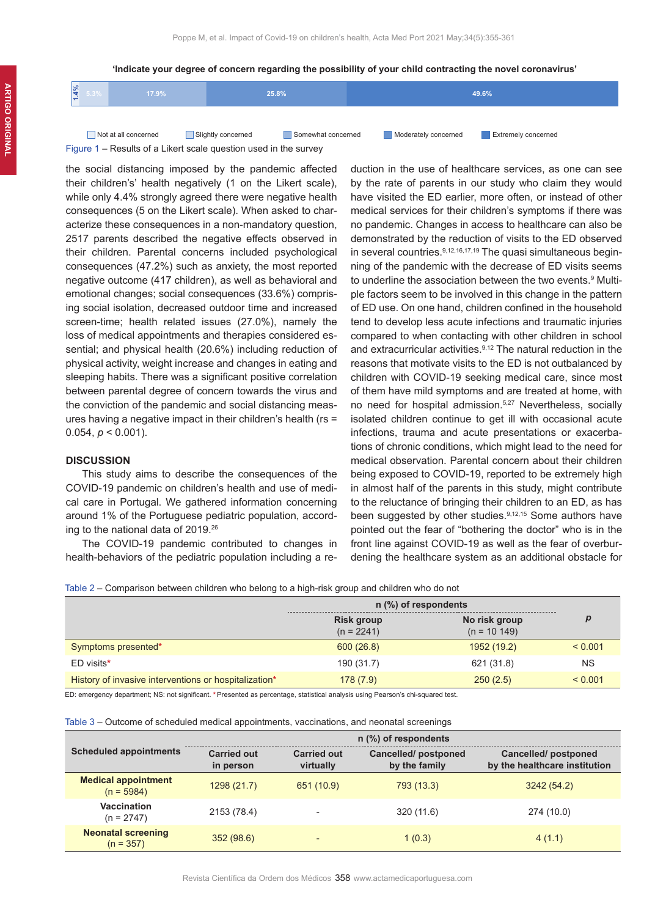#### **'Indicate your degree of concern regarding the possibility of your child contracting the novel coronavirus'**

| ە7 د. د | 17.9%                |                    | 25.8%              |                      | 49.6%                      |
|---------|----------------------|--------------------|--------------------|----------------------|----------------------------|
|         |                      |                    |                    |                      |                            |
|         | Not at all concerned | Slightly concerned | Somewhat concerned | Moderately concerned | <b>Extremely concerned</b> |

the social distancing imposed by the pandemic affected their children's' health negatively (1 on the Likert scale), while only 4.4% strongly agreed there were negative health consequences (5 on the Likert scale). When asked to characterize these consequences in a non-mandatory question, 2517 parents described the negative effects observed in their children. Parental concerns included psychological consequences (47.2%) such as anxiety, the most reported negative outcome (417 children), as well as behavioral and emotional changes; social consequences (33.6%) comprising social isolation, decreased outdoor time and increased screen-time; health related issues (27.0%), namely the loss of medical appointments and therapies considered essential; and physical health (20.6%) including reduction of physical activity, weight increase and changes in eating and sleeping habits. There was a significant positive correlation between parental degree of concern towards the virus and the conviction of the pandemic and social distancing measures having a negative impact in their children's health (rs = 0.054,  $p < 0.001$ ).

Figure 1 – Results of a Likert scale question used in the survey

# **DISCUSSION**

This study aims to describe the consequences of the COVID-19 pandemic on children's health and use of medical care in Portugal. We gathered information concerning around 1% of the Portuguese pediatric population, according to the national data of 2019.26

The COVID-19 pandemic contributed to changes in health-behaviors of the pediatric population including a re-

duction in the use of healthcare services, as one can see by the rate of parents in our study who claim they would have visited the ED earlier, more often, or instead of other medical services for their children's symptoms if there was no pandemic. Changes in access to healthcare can also be demonstrated by the reduction of visits to the ED observed in several countries.<sup>9,12,16,17,19</sup> The quasi simultaneous beginning of the pandemic with the decrease of ED visits seems to underline the association between the two events.<sup>9</sup> Multiple factors seem to be involved in this change in the pattern of ED use. On one hand, children confined in the household tend to develop less acute infections and traumatic injuries compared to when contacting with other children in school and extracurricular activities.<sup>9,12</sup> The natural reduction in the reasons that motivate visits to the ED is not outbalanced by children with COVID-19 seeking medical care, since most of them have mild symptoms and are treated at home, with no need for hospital admission.<sup>5,27</sup> Nevertheless, socially isolated children continue to get ill with occasional acute infections, trauma and acute presentations or exacerbations of chronic conditions, which might lead to the need for medical observation. Parental concern about their children being exposed to COVID-19, reported to be extremely high in almost half of the parents in this study, might contribute to the reluctance of bringing their children to an ED, as has been suggested by other studies.9,12,15 Some authors have pointed out the fear of "bothering the doctor" who is in the front line against COVID-19 as well as the fear of overburdening the healthcare system as an additional obstacle for

Table 2 – Comparison between children who belong to a high-risk group and children who do not

|                                                       | $n$ (%) of respondents            |                                 |           |
|-------------------------------------------------------|-----------------------------------|---------------------------------|-----------|
|                                                       | <b>Risk group</b><br>$(n = 2241)$ | No risk group<br>$(n = 10 149)$ |           |
| Symptoms presented*                                   | 600(26.8)                         | 1952 (19.2)                     | < 0.001   |
| ED visits*                                            | 190 (31.7)                        | 621 (31.8)                      | <b>NS</b> |
| History of invasive interventions or hospitalization* | 178(7.9)                          | 250(2.5)                        | < 0.001   |

ED: emergency department; NS: not significant. **\***Presented as percentage, statistical analysis using Pearson's chi-squared test.

### Table 3 – Outcome of scheduled medical appointments, vaccinations, and neonatal screenings

|                                            | n (%) of respondents            |                                 |                                             |                                                             |
|--------------------------------------------|---------------------------------|---------------------------------|---------------------------------------------|-------------------------------------------------------------|
| <b>Scheduled appointments</b>              | <b>Carried out</b><br>in person | <b>Carried out</b><br>virtually | <b>Cancelled/postponed</b><br>by the family | <b>Cancelled/postponed</b><br>by the healthcare institution |
| <b>Medical appointment</b><br>$(n = 5984)$ | 1298 (21.7)                     | 651 (10.9)                      | 793 (13.3)                                  | 3242(54.2)                                                  |
| Vaccination<br>$(n = 2747)$                | 2153 (78.4)                     |                                 | 320 (11.6)                                  | 274 (10.0)                                                  |
| <b>Neonatal screening</b><br>$(n = 357)$   | 352(98.6)                       |                                 | 1(0.3)                                      | 4(1.1)                                                      |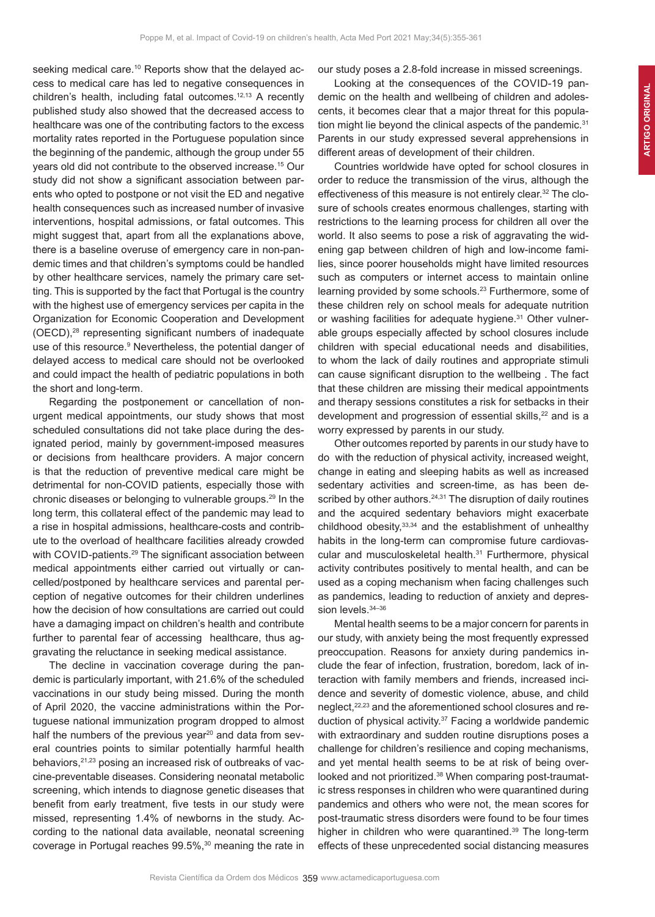seeking medical care.<sup>10</sup> Reports show that the delayed access to medical care has led to negative consequences in children's health, including fatal outcomes.<sup>12,13</sup> A recently published study also showed that the decreased access to healthcare was one of the contributing factors to the excess mortality rates reported in the Portuguese population since the beginning of the pandemic, although the group under 55 years old did not contribute to the observed increase.15 Our study did not show a significant association between parents who opted to postpone or not visit the ED and negative health consequences such as increased number of invasive interventions, hospital admissions, or fatal outcomes. This might suggest that, apart from all the explanations above, there is a baseline overuse of emergency care in non-pandemic times and that children's symptoms could be handled by other healthcare services, namely the primary care setting. This is supported by the fact that Portugal is the country with the highest use of emergency services per capita in the Organization for Economic Cooperation and Development (OECD),28 representing significant numbers of inadequate use of this resource.<sup>9</sup> Nevertheless, the potential danger of delayed access to medical care should not be overlooked and could impact the health of pediatric populations in both the short and long-term.

Regarding the postponement or cancellation of nonurgent medical appointments, our study shows that most scheduled consultations did not take place during the designated period, mainly by government-imposed measures or decisions from healthcare providers. A major concern is that the reduction of preventive medical care might be detrimental for non-COVID patients, especially those with chronic diseases or belonging to vulnerable groups.<sup>29</sup> In the long term, this collateral effect of the pandemic may lead to a rise in hospital admissions, healthcare-costs and contribute to the overload of healthcare facilities already crowded with COVID-patients.<sup>29</sup> The significant association between medical appointments either carried out virtually or cancelled/postponed by healthcare services and parental perception of negative outcomes for their children underlines how the decision of how consultations are carried out could have a damaging impact on children's health and contribute further to parental fear of accessing healthcare, thus aggravating the reluctance in seeking medical assistance.

The decline in vaccination coverage during the pandemic is particularly important, with 21.6% of the scheduled vaccinations in our study being missed. During the month of April 2020, the vaccine administrations within the Portuguese national immunization program dropped to almost half the numbers of the previous year<sup>20</sup> and data from several countries points to similar potentially harmful health behaviors, <sup>21,23</sup> posing an increased risk of outbreaks of vaccine-preventable diseases. Considering neonatal metabolic screening, which intends to diagnose genetic diseases that benefit from early treatment, five tests in our study were missed, representing 1.4% of newborns in the study. According to the national data available, neonatal screening coverage in Portugal reaches 99.5%,<sup>30</sup> meaning the rate in our study poses a 2.8-fold increase in missed screenings.

Looking at the consequences of the COVID-19 pandemic on the health and wellbeing of children and adolescents, it becomes clear that a major threat for this population might lie beyond the clinical aspects of the pandemic.<sup>31</sup> Parents in our study expressed several apprehensions in different areas of development of their children.

Countries worldwide have opted for school closures in order to reduce the transmission of the virus, although the effectiveness of this measure is not entirely clear.32 The closure of schools creates enormous challenges, starting with restrictions to the learning process for children all over the world. It also seems to pose a risk of aggravating the widening gap between children of high and low-income families, since poorer households might have limited resources such as computers or internet access to maintain online learning provided by some schools.<sup>23</sup> Furthermore, some of these children rely on school meals for adequate nutrition or washing facilities for adequate hygiene.<sup>31</sup> Other vulnerable groups especially affected by school closures include children with special educational needs and disabilities, to whom the lack of daily routines and appropriate stimuli can cause significant disruption to the wellbeing . The fact that these children are missing their medical appointments and therapy sessions constitutes a risk for setbacks in their development and progression of essential skills,<sup>22</sup> and is a worry expressed by parents in our study.

Other outcomes reported by parents in our study have to do with the reduction of physical activity, increased weight, change in eating and sleeping habits as well as increased sedentary activities and screen-time, as has been described by other authors.<sup>24,31</sup> The disruption of daily routines and the acquired sedentary behaviors might exacerbate childhood obesity, 33,34 and the establishment of unhealthy habits in the long-term can compromise future cardiovascular and musculoskeletal health.<sup>31</sup> Furthermore, physical activity contributes positively to mental health, and can be used as a coping mechanism when facing challenges such as pandemics, leading to reduction of anxiety and depression levels. 34-36

Mental health seems to be a major concern for parents in our study, with anxiety being the most frequently expressed preoccupation. Reasons for anxiety during pandemics include the fear of infection, frustration, boredom, lack of interaction with family members and friends, increased incidence and severity of domestic violence, abuse, and child neglect,<sup>22,23</sup> and the aforementioned school closures and reduction of physical activity.<sup>37</sup> Facing a worldwide pandemic with extraordinary and sudden routine disruptions poses a challenge for children's resilience and coping mechanisms, and yet mental health seems to be at risk of being overlooked and not prioritized.<sup>38</sup> When comparing post-traumatic stress responses in children who were quarantined during pandemics and others who were not, the mean scores for post-traumatic stress disorders were found to be four times higher in children who were quarantined.39 The long-term effects of these unprecedented social distancing measures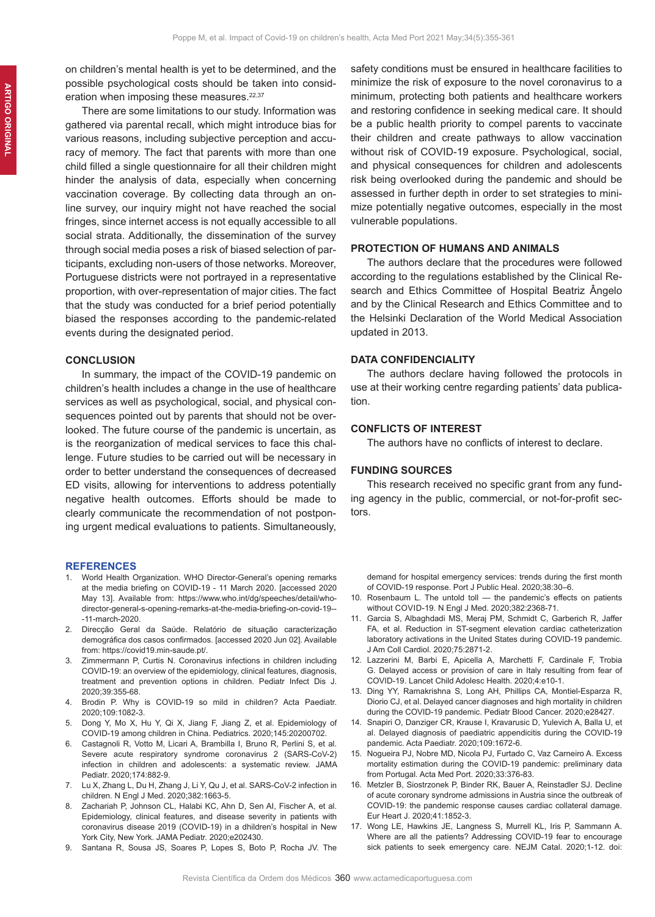on children's mental health is yet to be determined, and the possible psychological costs should be taken into consideration when imposing these measures.<sup>22,37</sup>

There are some limitations to our study. Information was gathered via parental recall, which might introduce bias for various reasons, including subjective perception and accuracy of memory. The fact that parents with more than one child filled a single questionnaire for all their children might hinder the analysis of data, especially when concerning vaccination coverage. By collecting data through an online survey, our inquiry might not have reached the social fringes, since internet access is not equally accessible to all social strata. Additionally, the dissemination of the survey through social media poses a risk of biased selection of participants, excluding non-users of those networks. Moreover, Portuguese districts were not portrayed in a representative proportion, with over-representation of major cities. The fact that the study was conducted for a brief period potentially biased the responses according to the pandemic-related events during the designated period.

### **CONCLUSION**

In summary, the impact of the COVID-19 pandemic on children's health includes a change in the use of healthcare services as well as psychological, social, and physical consequences pointed out by parents that should not be overlooked. The future course of the pandemic is uncertain, as is the reorganization of medical services to face this challenge. Future studies to be carried out will be necessary in order to better understand the consequences of decreased ED visits, allowing for interventions to address potentially negative health outcomes. Efforts should be made to clearly communicate the recommendation of not postponing urgent medical evaluations to patients. Simultaneously,

### **REFERENCES**

- 1. World Health Organization. WHO Director-General's opening remarks at the media briefing on COVID-19 - 11 March 2020. [accessed 2020 May 13]. Available from: https://www.who.int/dg/speeches/detail/whodirector-general-s-opening-remarks-at-the-media-briefing-on-covid-19-- -11-march-2020.
- 2. Direcção Geral da Saúde. Relatório de situação caracterização demográfica dos casos confirmados. [accessed 2020 Jun 02]. Available from: https://covid19.min-saude.pt/.
- 3. Zimmermann P, Curtis N. Coronavirus infections in children including COVID-19: an overview of the epidemiology, clinical features, diagnosis, treatment and prevention options in children. Pediatr Infect Dis J. 2020;39:355-68.
- 4. Brodin P. Why is COVID-19 so mild in children? Acta Paediatr. 2020;109:1082-3.
- 5. Dong Y, Mo X, Hu Y, Qi X, Jiang F, Jiang Z, et al. Epidemiology of COVID-19 among children in China. Pediatrics. 2020;145:20200702.
- 6. Castagnoli R, Votto M, Licari A, Brambilla I, Bruno R, Perlini S, et al. Severe acute respiratory syndrome coronavirus 2 (SARS-CoV-2) infection in children and adolescents: a systematic review. JAMA Pediatr. 2020;174:882-9.
- 7. Lu X, Zhang L, Du H, Zhang J, Li Y, Qu J, et al. SARS-CoV-2 infection in children. N Engl J Med. 2020;382:1663-5.
- Zachariah P, Johnson CL, Halabi KC, Ahn D, Sen AI, Fischer A, et al. Epidemiology, clinical features, and disease severity in patients with coronavirus disease 2019 (COVID-19) in a dhildren's hospital in New York City, New York. JAMA Pediatr. 2020;e202430.
- 9. Santana R, Sousa JS, Soares P, Lopes S, Boto P, Rocha JV. The

safety conditions must be ensured in healthcare facilities to minimize the risk of exposure to the novel coronavirus to a minimum, protecting both patients and healthcare workers and restoring confidence in seeking medical care. It should be a public health priority to compel parents to vaccinate their children and create pathways to allow vaccination without risk of COVID-19 exposure. Psychological, social, and physical consequences for children and adolescents risk being overlooked during the pandemic and should be assessed in further depth in order to set strategies to minimize potentially negative outcomes, especially in the most vulnerable populations.

# **PROTECTION OF HUMANS AND ANIMALS**

The authors declare that the procedures were followed according to the regulations established by the Clinical Research and Ethics Committee of Hospital Beatriz Ângelo and by the Clinical Research and Ethics Committee and to the Helsinki Declaration of the World Medical Association updated in 2013.

### **DATA CONFIDENCIALITY**

The authors declare having followed the protocols in use at their working centre regarding patients' data publication.

# **CONFLICTS OF INTEREST**

The authors have no conflicts of interest to declare.

#### **FUNDING SOURCES**

This research received no specific grant from any funding agency in the public, commercial, or not-for-profit sectors.

demand for hospital emergency services: trends during the first month of COVID-19 response. Port J Public Heal. 2020;38:30–6.

- 10. Rosenbaum L. The untold toll the pandemic's effects on patients without COVID-19. N Engl J Med. 2020;382:2368-71.
- 11. Garcia S, Albaghdadi MS, Meraj PM, Schmidt C, Garberich R, Jaffer FA, et al. Reduction in ST-segment elevation cardiac catheterization laboratory activations in the United States during COVID-19 pandemic. J Am Coll Cardiol. 2020;75:2871-2.
- 12. Lazzerini M, Barbi E, Apicella A, Marchetti F, Cardinale F, Trobia G. Delayed access or provision of care in Italy resulting from fear of COVID-19. Lancet Child Adolesc Health. 2020;4:e10-1.
- 13. Ding YY, Ramakrishna S, Long AH, Phillips CA, Montiel-Esparza R, Diorio CJ, et al. Delayed cancer diagnoses and high mortality in children during the COVID-19 pandemic. Pediatr Blood Cancer. 2020;e28427.
- 14. Snapiri O, Danziger CR, Krause I, Kravarusic D, Yulevich A, Balla U, et al. Delayed diagnosis of paediatric appendicitis during the COVID-19 pandemic. Acta Paediatr. 2020;109:1672-6.
- 15. Nogueira PJ, Nobre MD, Nicola PJ, Furtado C, Vaz Carneiro A. Excess mortality estimation during the COVID-19 pandemic: preliminary data from Portugal. Acta Med Port. 2020;33:376-83.
- 16. Metzler B, Siostrzonek P, Binder RK, Bauer A, Reinstadler SJ. Decline of acute coronary syndrome admissions in Austria since the outbreak of COVID-19: the pandemic response causes cardiac collateral damage. Eur Heart J. 2020;41:1852-3.
- 17. Wong LE, Hawkins JE, Langness S, Murrell KL, Iris P, Sammann A. Where are all the patients? Addressing COVID-19 fear to encourage sick patients to seek emergency care. NEJM Catal. 2020;1-12. doi: